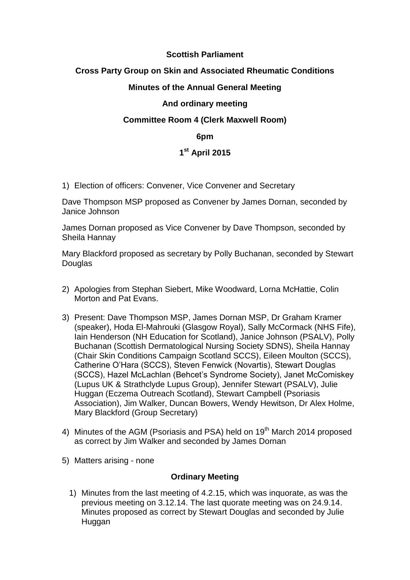### **Scottish Parliament**

# **Cross Party Group on Skin and Associated Rheumatic Conditions**

# **Minutes of the Annual General Meeting**

### **And ordinary meeting**

# **Committee Room 4 (Clerk Maxwell Room)**

#### **6pm**

# **1 st April 2015**

1) Election of officers: Convener, Vice Convener and Secretary

Dave Thompson MSP proposed as Convener by James Dornan, seconded by Janice Johnson

James Dornan proposed as Vice Convener by Dave Thompson, seconded by Sheila Hannay

Mary Blackford proposed as secretary by Polly Buchanan, seconded by Stewart **Douglas** 

- 2) Apologies from Stephan Siebert, Mike Woodward, Lorna McHattie, Colin Morton and Pat Evans.
- 3) Present: Dave Thompson MSP, James Dornan MSP, Dr Graham Kramer (speaker), Hoda El-Mahrouki (Glasgow Royal), Sally McCormack (NHS Fife), Iain Henderson (NH Education for Scotland), Janice Johnson (PSALV), Polly Buchanan (Scottish Dermatological Nursing Society SDNS), Sheila Hannay (Chair Skin Conditions Campaign Scotland SCCS), Eileen Moulton (SCCS), Catherine O'Hara (SCCS), Steven Fenwick (Novartis), Stewart Douglas (SCCS), Hazel McLachlan (Behcet's Syndrome Society), Janet McComiskey (Lupus UK & Strathclyde Lupus Group), Jennifer Stewart (PSALV), Julie Huggan (Eczema Outreach Scotland), Stewart Campbell (Psoriasis Association), Jim Walker, Duncan Bowers, Wendy Hewitson, Dr Alex Holme, Mary Blackford (Group Secretary)
- 4) Minutes of the AGM (Psoriasis and PSA) held on 19<sup>th</sup> March 2014 proposed as correct by Jim Walker and seconded by James Dornan
- 5) Matters arising none

#### **Ordinary Meeting**

1) Minutes from the last meeting of 4.2.15, which was inquorate, as was the previous meeting on 3.12.14. The last quorate meeting was on 24.9.14. Minutes proposed as correct by Stewart Douglas and seconded by Julie Huggan